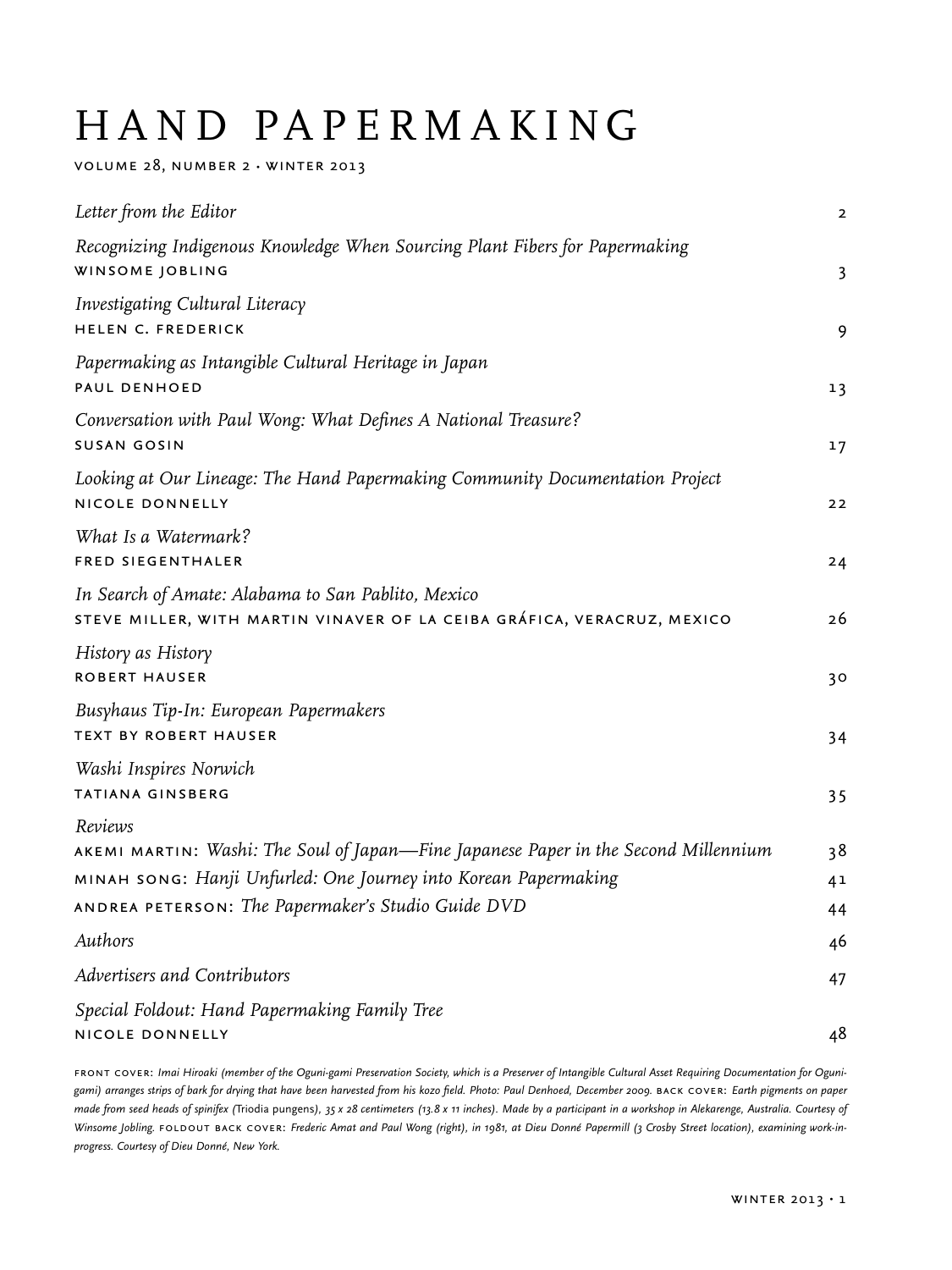# HAND PAPERMAKING

volume 28, number 2 • winter 2013

| Letter from the Editor                                                                                                        | $\overline{2}$ |
|-------------------------------------------------------------------------------------------------------------------------------|----------------|
| Recognizing Indigenous Knowledge When Sourcing Plant Fibers for Papermaking<br>WINSOME JOBLING                                | 3              |
| Investigating Cultural Literacy<br>HELEN C. FREDERICK                                                                         | 9              |
| Papermaking as Intangible Cultural Heritage in Japan<br>PAUL DENHOED                                                          | 13             |
| Conversation with Paul Wong: What Defines A National Treasure?<br><b>SUSAN GOSIN</b>                                          | 17             |
| Looking at Our Lineage: The Hand Papermaking Community Documentation Project<br>NICOLE DONNELLY                               | 22             |
| What Is a Watermark?<br>FRED SIEGENTHALER                                                                                     | 24             |
| In Search of Amate: Alabama to San Pablito, Mexico<br>STEVE MILLER, WITH MARTIN VINAVER OF LA CEIBA GRÁFICA, VERACRUZ, MEXICO | 26             |
| History as History<br><b>ROBERT HAUSER</b>                                                                                    | 30             |
| Busyhaus Tip-In: European Papermakers<br><b>TEXT BY ROBERT HAUSER</b>                                                         | 34             |
| Washi Inspires Norwich<br>TATIANA GINSBERG                                                                                    | 35             |
| Reviews<br>AKEMI MARTIN: Washi: The Soul of Japan—Fine Japanese Paper in the Second Millennium                                | 38             |
| MINAH SONG: Hanji Unfurled: One Journey into Korean Papermaking                                                               | 4 <sup>1</sup> |
| ANDREA PETERSON: The Papermaker's Studio Guide DVD                                                                            | 44             |
| Authors                                                                                                                       | 46             |
| Advertisers and Contributors                                                                                                  | 47             |
| Special Foldout: Hand Papermaking Family Tree                                                                                 |                |
| NICOLE DONNELLY                                                                                                               | 48             |

FRONT COVER: Imai Hiroaki (member of the Oguni-gami Preservation Society, which is a Preserver of Intangible Cultural Asset Requiring Documentation for Oguni*gami) arranges strips of bark for drying that have been harvested from his kozo field. Photo: Paul Denhoed, December 2009.* back cover: *Earth pigments on paper made from seed heads of spinifex (*Triodia pungens*), 35 x 28 centimeters (13.8 x 11 inches). Made by a participant in a workshop in Alekarenge, Australia. Courtesy of*  Winsome Jobling. FOLDOUT BACK COVER: Frederic Amat and Paul Wong (right), in 1981, at Dieu Donné Papermill (3 Crosby Street location), examining work-in*progress. Courtesy of Dieu Donné, New York.*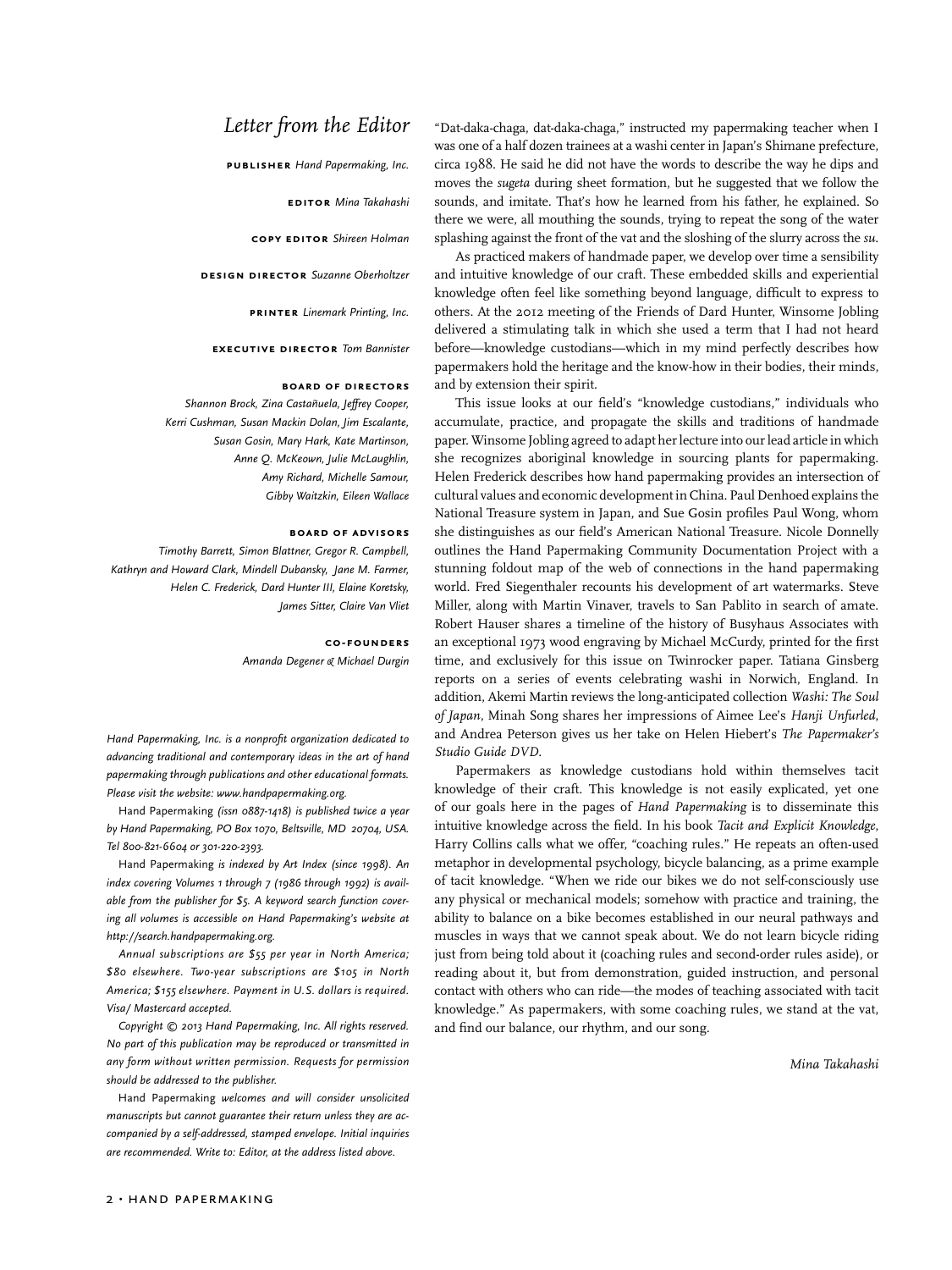## *Letter from the Editor*

**publisher** *Hand Papermaking, Inc.*

**editor** *Mina Takahashi*

**copy editor** *Shireen Holman*

**design director** *Suzanne Oberholtzer*

**printer** *Linemark Printing, Inc.*

**executive director** *Tom Bannister*

#### **board of directors**

*Shannon Brock, Zina Castañuela, Jeffrey Cooper, Kerri Cushman, Susan Mackin Dolan, Jim Escalante, Susan Gosin, Mary Hark, Kate Martinson, Anne Q. McKeown, Julie McLaughlin, Amy Richard, Michelle Samour, Gibby Waitzkin, Eileen Wallace*

#### **board of advisors**

*Timothy Barrett, Simon Blattner, Gregor R. Campbell, Kathryn and Howard Clark, Mindell Dubansky, Jane M. Farmer, Helen C. Frederick, Dard Hunter III, Elaine Koretsky, James Sitter, Claire Van Vliet*

> **co-founders** *Amanda Degener & Michael Durgin*

*Hand Papermaking, Inc. is a nonprofit organization dedicated to advancing traditional and contemporary ideas in the art of hand papermaking through publications and other educational formats. Please visit the website: www.handpapermaking.org.*

Hand Papermaking *(issn 0887-1418) is published twice a year by Hand Papermaking, PO Box 1070, Beltsville, MD 20704, USA. Tel 800-821-6604 or 301-220-2393.* 

Hand Papermaking *is indexed by Art Index (since 1998). An index covering Volumes 1 through 7 (1986 through 1992) is available from the publisher for \$5. A keyword search function covering all volumes is accessible on Hand Papermaking's website at http://search.handpapermaking.org.* 

*Annual subscriptions are \$55 per year in North America; \$80 elsewhere. Two-year subscriptions are \$105 in North America; \$155 elsewhere. Payment in U.S. dollars is required. Visa/ Mastercard accepted.* 

*Copyright © 2013 Hand Papermaking, Inc. All rights reserved. No part of this publication may be reproduced or transmitted in any form without written permission. Requests for permission should be addressed to the publisher.*

Hand Papermaking *welcomes and will consider unsolicited manuscripts but cannot guarantee their return unless they are accompanied by a self-addressed, stamped envelope. Initial inquiries are recommended. Write to: Editor, at the address listed above.*

"Dat-daka-chaga, dat-daka-chaga," instructed my papermaking teacher when I was one of a half dozen trainees at a washi center in Japan's Shimane prefecture, circa 1988. He said he did not have the words to describe the way he dips and moves the *sugeta* during sheet formation, but he suggested that we follow the sounds, and imitate. That's how he learned from his father, he explained. So there we were, all mouthing the sounds, trying to repeat the song of the water splashing against the front of the vat and the sloshing of the slurry across the *su*.

As practiced makers of handmade paper, we develop over time a sensibility and intuitive knowledge of our craft. These embedded skills and experiential knowledge often feel like something beyond language, difficult to express to others. At the 2012 meeting of the Friends of Dard Hunter, Winsome Jobling delivered a stimulating talk in which she used a term that I had not heard before—knowledge custodians—which in my mind perfectly describes how papermakers hold the heritage and the know-how in their bodies, their minds, and by extension their spirit.

This issue looks at our field's "knowledge custodians," individuals who accumulate, practice, and propagate the skills and traditions of handmade paper. Winsome Jobling agreed to adapt her lecture into our lead article in which she recognizes aboriginal knowledge in sourcing plants for papermaking. Helen Frederick describes how hand papermaking provides an intersection of cultural values and economic development in China. Paul Denhoed explains the National Treasure system in Japan, and Sue Gosin profiles Paul Wong, whom she distinguishes as our field's American National Treasure. Nicole Donnelly outlines the Hand Papermaking Community Documentation Project with a stunning foldout map of the web of connections in the hand papermaking world. Fred Siegenthaler recounts his development of art watermarks. Steve Miller, along with Martin Vinaver, travels to San Pablito in search of amate. Robert Hauser shares a timeline of the history of Busyhaus Associates with an exceptional 1973 wood engraving by Michael McCurdy, printed for the first time, and exclusively for this issue on Twinrocker paper. Tatiana Ginsberg reports on a series of events celebrating washi in Norwich, England. In addition, Akemi Martin reviews the long-anticipated collection *Washi: The Soul of Japan*, Minah Song shares her impressions of Aimee Lee's *Hanji Unfurled*, and Andrea Peterson gives us her take on Helen Hiebert's *The Papermaker's Studio Guide DVD*.

Papermakers as knowledge custodians hold within themselves tacit knowledge of their craft. This knowledge is not easily explicated, yet one of our goals here in the pages of *Hand Papermaking* is to disseminate this intuitive knowledge across the field. In his book *Tacit and Explicit Knowledge*, Harry Collins calls what we offer, "coaching rules." He repeats an often-used metaphor in developmental psychology, bicycle balancing, as a prime example of tacit knowledge. "When we ride our bikes we do not self-consciously use any physical or mechanical models; somehow with practice and training, the ability to balance on a bike becomes established in our neural pathways and muscles in ways that we cannot speak about. We do not learn bicycle riding just from being told about it (coaching rules and second-order rules aside), or reading about it, but from demonstration, guided instruction, and personal contact with others who can ride—the modes of teaching associated with tacit knowledge." As papermakers, with some coaching rules, we stand at the vat, and find our balance, our rhythm, and our song.

*Mina Takahashi*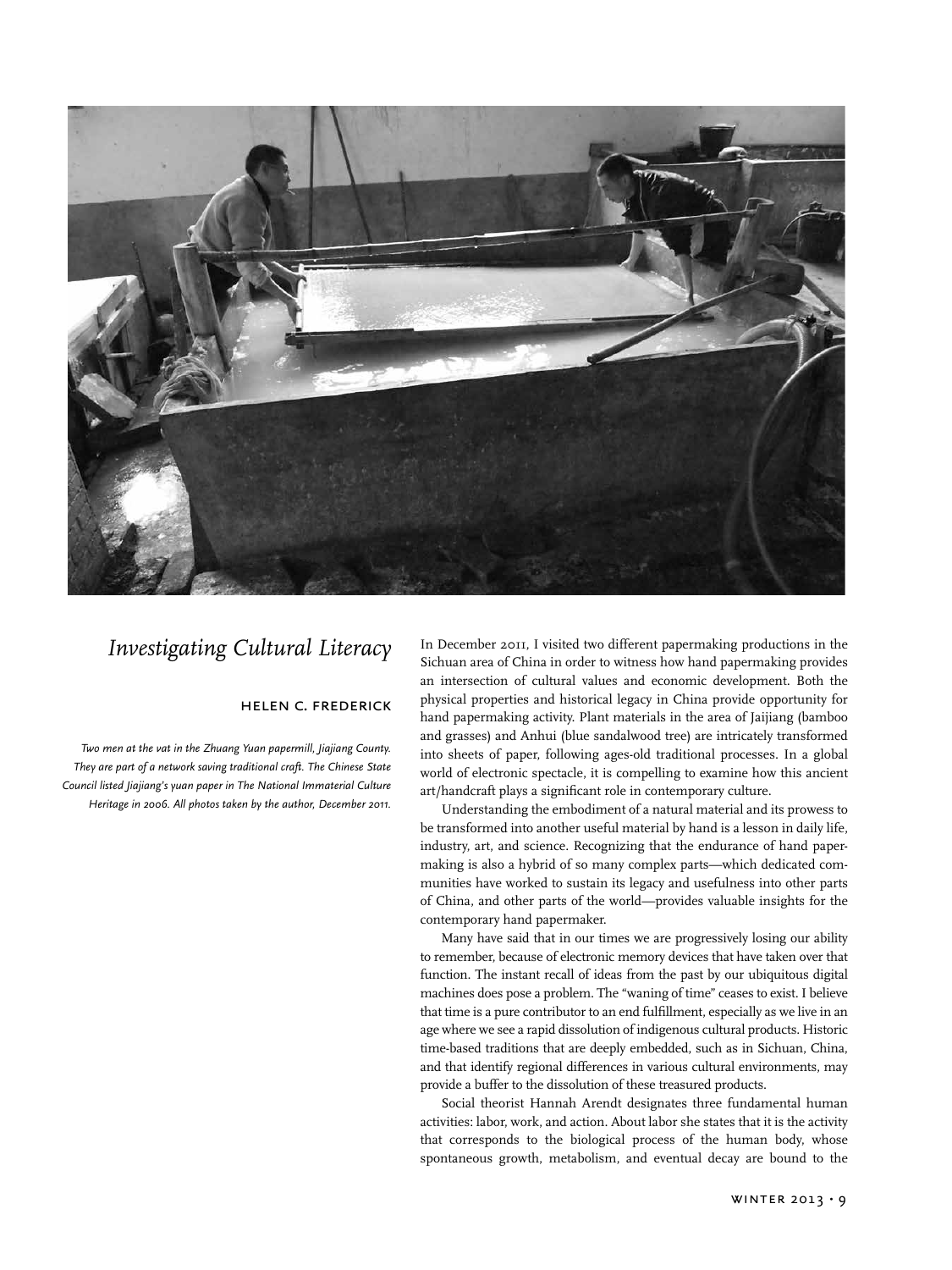

## *Investigating Cultural Literacy*

### helen c. frederick

*Two men at the vat in the Zhuang Yuan papermill, Jiajiang County. They are part of a network saving traditional craft. The Chinese State Council listed Jiajiang's yuan paper in The National Immaterial Culture Heritage in 2006. All photos taken by the author, December 2011.*

In December 2011, I visited two different papermaking productions in the Sichuan area of China in order to witness how hand papermaking provides an intersection of cultural values and economic development. Both the physical properties and historical legacy in China provide opportunity for hand papermaking activity. Plant materials in the area of Jaijiang (bamboo and grasses) and Anhui (blue sandalwood tree) are intricately transformed into sheets of paper, following ages-old traditional processes. In a global world of electronic spectacle, it is compelling to examine how this ancient art/handcraft plays a significant role in contemporary culture.

Understanding the embodiment of a natural material and its prowess to be transformed into another useful material by hand is a lesson in daily life, industry, art, and science. Recognizing that the endurance of hand papermaking is also a hybrid of so many complex parts—which dedicated communities have worked to sustain its legacy and usefulness into other parts of China, and other parts of the world—provides valuable insights for the contemporary hand papermaker.

Many have said that in our times we are progressively losing our ability to remember, because of electronic memory devices that have taken over that function. The instant recall of ideas from the past by our ubiquitous digital machines does pose a problem. The "waning of time" ceases to exist. I believe that time is a pure contributor to an end fulfillment, especially as we live in an age where we see a rapid dissolution of indigenous cultural products. Historic time-based traditions that are deeply embedded, such as in Sichuan, China, and that identify regional differences in various cultural environments, may provide a buffer to the dissolution of these treasured products.

Social theorist Hannah Arendt designates three fundamental human activities: labor, work, and action. About labor she states that it is the activity that corresponds to the biological process of the human body, whose spontaneous growth, metabolism, and eventual decay are bound to the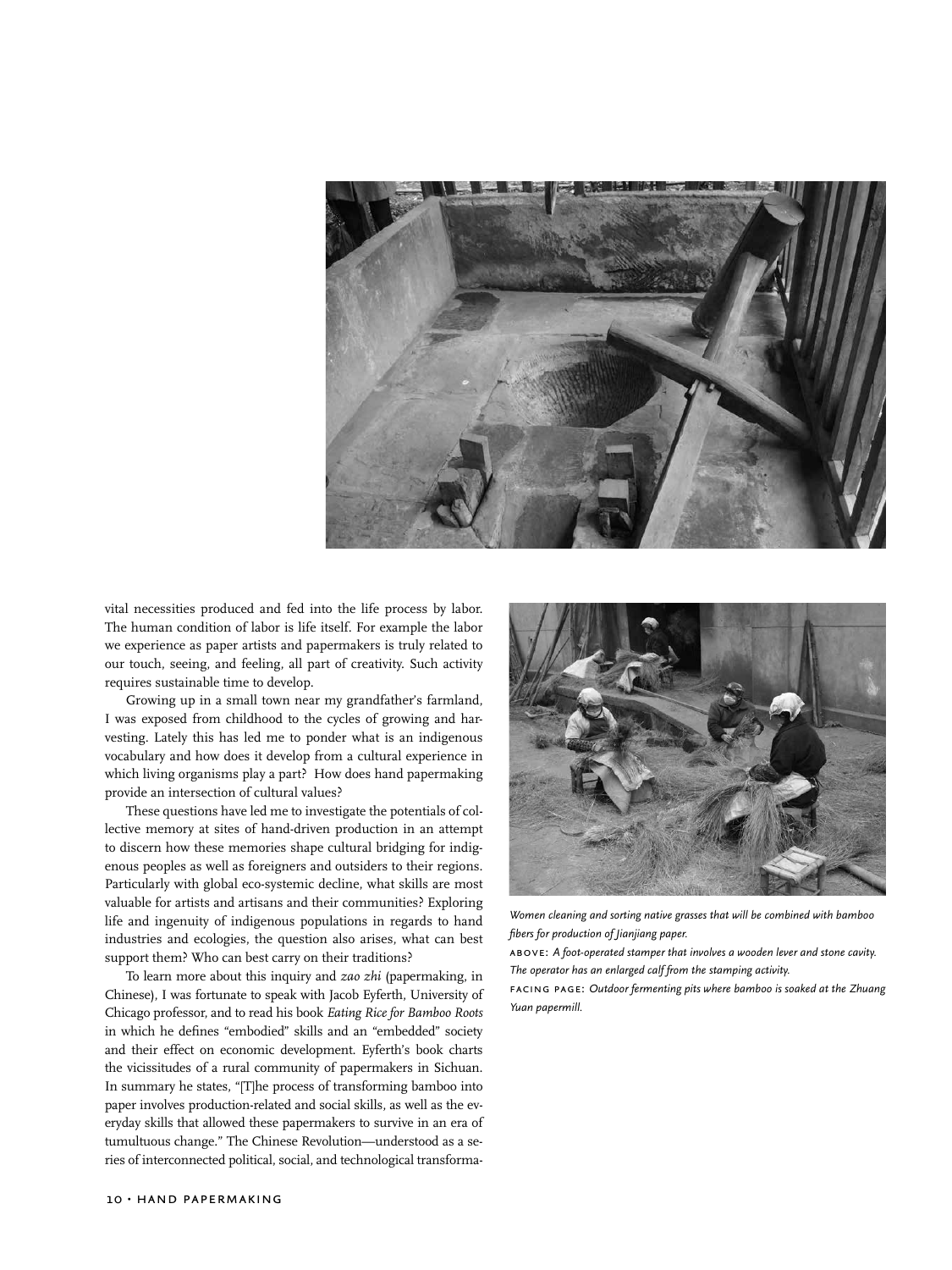

vital necessities produced and fed into the life process by labor. The human condition of labor is life itself. For example the labor we experience as paper artists and papermakers is truly related to our touch, seeing, and feeling, all part of creativity. Such activity requires sustainable time to develop.

Growing up in a small town near my grandfather's farmland, I was exposed from childhood to the cycles of growing and harvesting. Lately this has led me to ponder what is an indigenous vocabulary and how does it develop from a cultural experience in which living organisms play a part? How does hand papermaking provide an intersection of cultural values?

These questions have led me to investigate the potentials of collective memory at sites of hand-driven production in an attempt to discern how these memories shape cultural bridging for indigenous peoples as well as foreigners and outsiders to their regions. Particularly with global eco-systemic decline, what skills are most valuable for artists and artisans and their communities? Exploring life and ingenuity of indigenous populations in regards to hand industries and ecologies, the question also arises, what can best support them? Who can best carry on their traditions?

To learn more about this inquiry and *zao zhi* (papermaking, in Chinese), I was fortunate to speak with Jacob Eyferth, University of Chicago professor, and to read his book *Eating Rice for Bamboo Roots*  in which he defines "embodied" skills and an "embedded" society and their effect on economic development. Eyferth's book charts the vicissitudes of a rural community of papermakers in Sichuan. In summary he states, "[T]he process of transforming bamboo into paper involves production-related and social skills, as well as the everyday skills that allowed these papermakers to survive in an era of tumultuous change." The Chinese Revolution—understood as a series of interconnected political, social, and technological transforma-



*Women cleaning and sorting native grasses that will be combined with bamboo fibers for production of Jianjiang paper.*

above: *A foot-operated stamper that involves a wooden lever and stone cavity. The operator has an enlarged calf from the stamping activity.*

facing page: *Outdoor fermenting pits where bamboo is soaked at the Zhuang Yuan papermill.*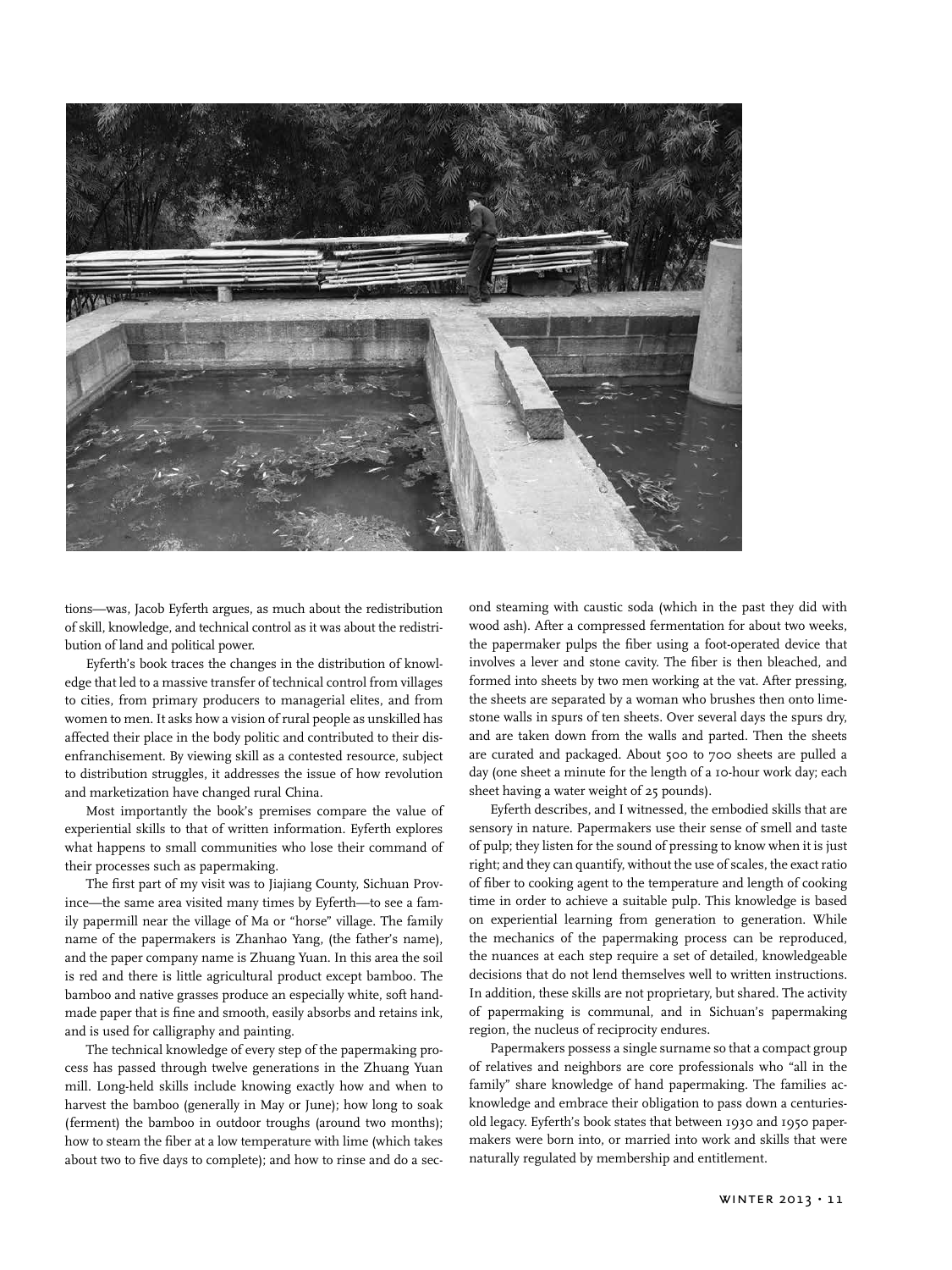

tions—was, Jacob Eyferth argues, as much about the redistribution of skill, knowledge, and technical control as it was about the redistribution of land and political power.

Eyferth's book traces the changes in the distribution of knowledge that led to a massive transfer of technical control from villages to cities, from primary producers to managerial elites, and from women to men. It asks how a vision of rural people as unskilled has affected their place in the body politic and contributed to their disenfranchisement. By viewing skill as a contested resource, subject to distribution struggles, it addresses the issue of how revolution and marketization have changed rural China.

Most importantly the book's premises compare the value of experiential skills to that of written information. Eyferth explores what happens to small communities who lose their command of their processes such as papermaking.

The first part of my visit was to Jiajiang County, Sichuan Province—the same area visited many times by Eyferth—to see a family papermill near the village of Ma or "horse" village. The family name of the papermakers is Zhanhao Yang, (the father's name), and the paper company name is Zhuang Yuan. In this area the soil is red and there is little agricultural product except bamboo. The bamboo and native grasses produce an especially white, soft handmade paper that is fine and smooth, easily absorbs and retains ink, and is used for calligraphy and painting.

The technical knowledge of every step of the papermaking process has passed through twelve generations in the Zhuang Yuan mill. Long-held skills include knowing exactly how and when to harvest the bamboo (generally in May or June); how long to soak (ferment) the bamboo in outdoor troughs (around two months); how to steam the fiber at a low temperature with lime (which takes about two to five days to complete); and how to rinse and do a second steaming with caustic soda (which in the past they did with wood ash). After a compressed fermentation for about two weeks, the papermaker pulps the fiber using a foot-operated device that involves a lever and stone cavity. The fiber is then bleached, and formed into sheets by two men working at the vat. After pressing, the sheets are separated by a woman who brushes then onto limestone walls in spurs of ten sheets. Over several days the spurs dry, and are taken down from the walls and parted. Then the sheets are curated and packaged. About 500 to 700 sheets are pulled a day (one sheet a minute for the length of a 10-hour work day; each sheet having a water weight of 25 pounds).

Eyferth describes, and I witnessed, the embodied skills that are sensory in nature. Papermakers use their sense of smell and taste of pulp; they listen for the sound of pressing to know when it is just right; and they can quantify, without the use of scales, the exact ratio of fiber to cooking agent to the temperature and length of cooking time in order to achieve a suitable pulp. This knowledge is based on experiential learning from generation to generation. While the mechanics of the papermaking process can be reproduced, the nuances at each step require a set of detailed, knowledgeable decisions that do not lend themselves well to written instructions. In addition, these skills are not proprietary, but shared. The activity of papermaking is communal, and in Sichuan's papermaking region, the nucleus of reciprocity endures.

Papermakers possess a single surname so that a compact group of relatives and neighbors are core professionals who "all in the family" share knowledge of hand papermaking. The families acknowledge and embrace their obligation to pass down a centuriesold legacy. Eyferth's book states that between 1930 and 1950 papermakers were born into, or married into work and skills that were naturally regulated by membership and entitlement.